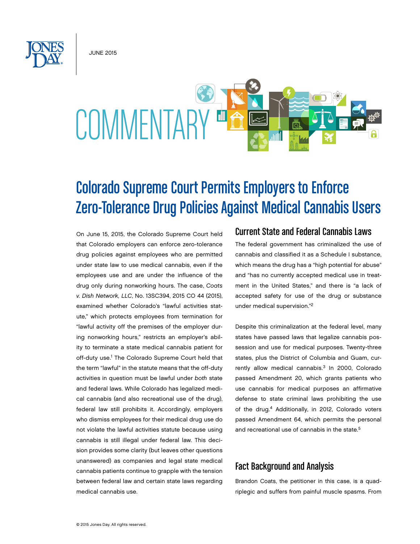JUNE 2015

# **COMMENTARY**

# Colorado Supreme Court Permits Employers to Enforce Zero-Tolerance Drug Policies Against Medical Cannabis Users

On June 15, 2015, the Colorado Supreme Court held that Colorado employers can enforce zero-tolerance drug policies against employees who are permitted under state law to use medical cannabis, even if the employees use and are under the influence of the drug only during nonworking hours. The case, *Coats v. Dish Network, LLC*, No. 13SC394, 2015 CO 44 (2015), examined whether Colorado's "lawful activities statute," which protects employees from termination for "lawful activity off the premises of the employer during nonworking hours," restricts an employer's ability to terminate a state medical cannabis patient for off-duty use.<sup>1</sup> The Colorado Supreme Court held that the term "lawful" in the statute means that the off-duty activities in question must be lawful under *both* state and federal laws. While Colorado has legalized medical cannabis (and also recreational use of the drug), federal law still prohibits it. Accordingly, employers who dismiss employees for their medical drug use do not violate the lawful activities statute because using cannabis is still illegal under federal law. This decision provides some clarity (but leaves other questions unanswered) as companies and legal state medical cannabis patients continue to grapple with the tension between federal law and certain state laws regarding medical cannabis use.

# Current State and Federal Cannabis Laws

The federal government has criminalized the use of cannabis and classified it as a Schedule I substance, which means the drug has a "high potential for abuse" and "has no currently accepted medical use in treatment in the United States," and there is "a lack of accepted safety for use of the drug or substance under medical supervision."2

Despite this criminalization at the federal level, many states have passed laws that legalize cannabis possession and use for medical purposes. Twenty-three states, plus the District of Columbia and Guam, currently allow medical cannabis.<sup>3</sup> In 2000, Colorado passed Amendment 20, which grants patients who use cannabis for medical purposes an affirmative defense to state criminal laws prohibiting the use of the drug.<sup>4</sup> Additionally, in 2012, Colorado voters passed Amendment 64, which permits the personal and recreational use of cannabis in the state.<sup>5</sup>

# Fact Background and Analysis

Brandon Coats, the petitioner in this case, is a quadriplegic and suffers from painful muscle spasms. From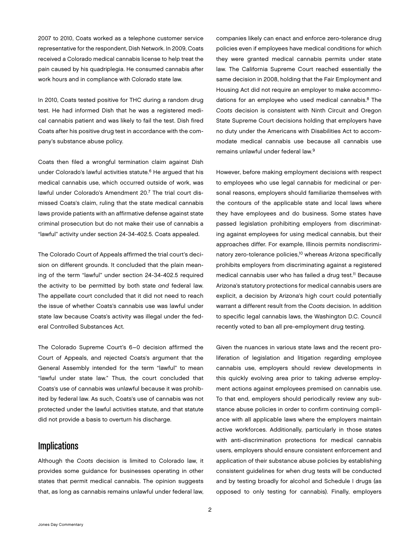2007 to 2010, Coats worked as a telephone customer service representative for the respondent, Dish Network. In 2009, Coats received a Colorado medical cannabis license to help treat the pain caused by his quadriplegia. He consumed cannabis after work hours and in compliance with Colorado state law.

In 2010, Coats tested positive for THC during a random drug test. He had informed Dish that he was a registered medical cannabis patient and was likely to fail the test. Dish fired Coats after his positive drug test in accordance with the company's substance abuse policy.

Coats then filed a wrongful termination claim against Dish under Colorado's lawful activities statute. $6$  He argued that his medical cannabis use, which occurred outside of work, was lawful under Colorado's Amendment 20.7 The trial court dismissed Coats's claim, ruling that the state medical cannabis laws provide patients with an affirmative defense against state criminal prosecution but do not make their use of cannabis a "lawful" activity under section 24-34-402.5. Coats appealed.

The Colorado Court of Appeals affirmed the trial court's decision on different grounds. It concluded that the plain meaning of the term "lawful" under section 24-34-402.5 required the activity to be permitted by both state *and* federal law. The appellate court concluded that it did not need to reach the issue of whether Coats's cannabis use was lawful under state law because Coats's activity was illegal under the federal Controlled Substances Act.

The Colorado Supreme Court's 6–0 decision affirmed the Court of Appeals, and rejected Coats's argument that the General Assembly intended for the term "lawful" to mean "lawful under state law." Thus, the court concluded that Coats's use of cannabis was unlawful because it was prohibited by federal law. As such, Coats's use of cannabis was not protected under the lawful activities statute, and that statute did not provide a basis to overturn his discharge.

## **Implications**

Although the *Coats* decision is limited to Colorado law, it provides some guidance for businesses operating in other states that permit medical cannabis. The opinion suggests that, as long as cannabis remains unlawful under federal law,

companies likely can enact and enforce zero-tolerance drug policies even if employees have medical conditions for which they were granted medical cannabis permits under state law. The California Supreme Court reached essentially the same decision in 2008, holding that the Fair Employment and Housing Act did not require an employer to make accommodations for an employee who used medical cannabis. $8$  The *Coats* decision is consistent with Ninth Circuit and Oregon State Supreme Court decisions holding that employers have no duty under the Americans with Disabilities Act to accommodate medical cannabis use because all cannabis use remains unlawful under federal law.9

However, before making employment decisions with respect to employees who use legal cannabis for medicinal or personal reasons, employers should familiarize themselves with the contours of the applicable state and local laws where they have employees and do business. Some states have passed legislation prohibiting employers from discriminating against employees for using medical cannabis, but their approaches differ. For example, Illinois permits nondiscriminatory zero-tolerance policies,<sup>10</sup> whereas Arizona specifically prohibits employers from discriminating against a registered medical cannabis user who has failed a drug test.<sup>11</sup> Because Arizona's statutory protections for medical cannabis users are explicit, a decision by Arizona's high court could potentially warrant a different result from the *Coats* decision. In addition to specific legal cannabis laws, the Washington D.C. Council recently voted to ban all pre-employment drug testing.

Given the nuances in various state laws and the recent proliferation of legislation and litigation regarding employee cannabis use, employers should review developments in this quickly evolving area prior to taking adverse employment actions against employees premised on cannabis use. To that end, employers should periodically review any substance abuse policies in order to confirm continuing compliance with all applicable laws where the employers maintain active workforces. Additionally, particularly in those states with anti-discrimination protections for medical cannabis users, employers should ensure consistent enforcement and application of their substance abuse policies by establishing consistent guidelines for when drug tests will be conducted and by testing broadly for alcohol and Schedule I drugs (as opposed to only testing for cannabis). Finally, employers